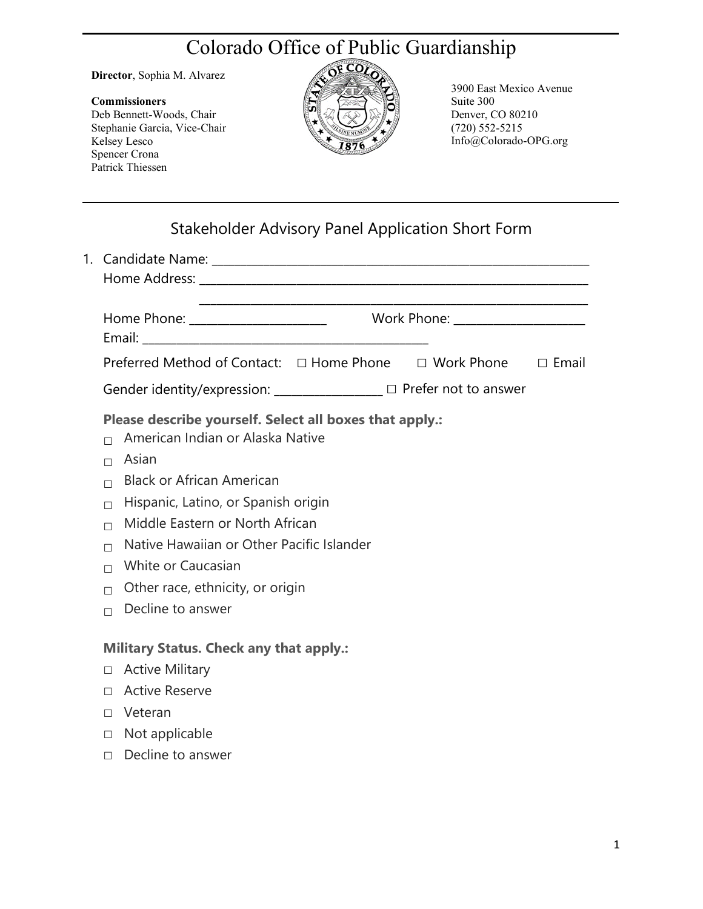## Colorado Office of Public Guardianship

**Director**, Sophia M. Alvarez

## **Commissioners**

Deb Bennett-Woods, Chair Stephanie Garcia, Vice-Chair Kelsey Lesco Spencer Crona Patrick Thiessen



3900 East Mexico Avenue Suite 300 Denver, CO 80210 (720) 552-5215 Info@Colorado-OPG.org

|  |                                                | <u> 1989 - Johann Stoff, amerikansk politiker (* 1908)</u>                                  |  |  |
|--|------------------------------------------------|---------------------------------------------------------------------------------------------|--|--|
|  |                                                | Preferred Method of Contact: □ Home Phone □ Work Phone □ Email                              |  |  |
|  |                                                | Gender identity/expression: ________________ □ Prefer not to answer                         |  |  |
|  | П                                              | Please describe yourself. Select all boxes that apply.:<br>American Indian or Alaska Native |  |  |
|  | $\Box$                                         | Asian                                                                                       |  |  |
|  | $\Box$                                         | <b>Black or African American</b>                                                            |  |  |
|  | $\Box$                                         | Hispanic, Latino, or Spanish origin                                                         |  |  |
|  | $\Box$                                         | Middle Eastern or North African                                                             |  |  |
|  | $\Box$                                         | Native Hawaiian or Other Pacific Islander                                                   |  |  |
|  | $\Box$                                         | White or Caucasian                                                                          |  |  |
|  | $\Box$                                         | Other race, ethnicity, or origin                                                            |  |  |
|  | П                                              | Decline to answer                                                                           |  |  |
|  | <b>Military Status. Check any that apply.:</b> |                                                                                             |  |  |
|  | $\Box$                                         | <b>Active Military</b>                                                                      |  |  |
|  | П                                              | <b>Active Reserve</b>                                                                       |  |  |
|  | П                                              | Veteran                                                                                     |  |  |
|  | $\Box$                                         | Not applicable                                                                              |  |  |

□ Decline to answer